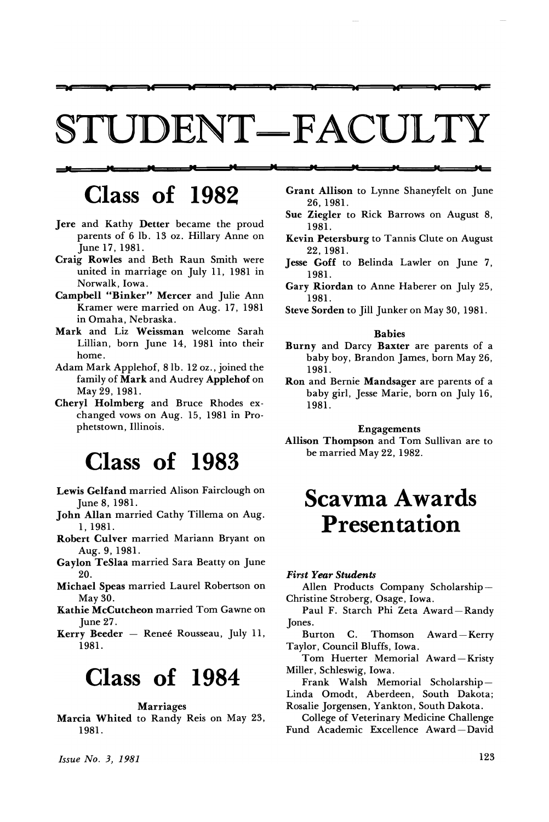# STUDENT-FACULTY

w ad ad w w as ae w be

## ا<del>ل سما السما السما</del><br>|<br>|- 1000 - 1 Class of 1982

- Jere and Kathy Detter became the proud parents of 6 lb. 13 oz. Hillary Anne on June 17, 1981.
- Craig Rowles and Beth Raun Smith were united in marriage on July 11, 1981 in Norwalk, Iowa.
- Campbell "Binker" Mercer and Julie Ann Kramer were married on Aug. 17, 1981 in Omaha, Nebraska.
- Mark and Liz Weissman welcome Sarah Lillian, born June 14, 1981 into their home.
- Adam Mark Applehof, 81b. 12 oz., joined the family of Mark and Audrey Applehof on May 29,1981.
- Cheryl Holmberg and Bruce Rhodes exchanged vows on Aug. 15, 1981 in Prophetstown, Illinois.

# Class of 1983

- Lewis Gelfand married Alison Fairclough on June 8,1981.
- John Allan married Cathy Tillema on Aug. 1,1981.
- Robert Culver married Mariann Bryant on Aug. 9,1981.
- Gaylon TeSlaa married Sara Beatty on June 20.
- Michael Speas married Laurel Robertson on May 30.
- Kathie McCutcheon married Tom Gawne on June 27.
- Kerry Beeder Renee Rousseau, July 11, 1981.

### Class of 1984

### Marriages

Marcia Whited to Randy Reis on May 23, 1981.

Grant Allison to Lynne Shaneyfelt on June 26,1981.

PC M PC pc

- Sue Ziegler to Rick Barrows on August 8, 1981.
- Kevin Petersburg to Tannis Clute on August 22,1981.
- Jesse Goff to Belinda Lawler on June 7, 1981.
- Gary Riordan to Anne Haberer on July 25, 1981.
- Steve Sorden to Jill Junker on May 30, 1981.

#### Babies

- Burny and Darcy Baxter are parents of a baby boy, Brandon James, born May 26, 1981.
- Ron and Bernie Mandsager are parents of a baby girl, Jesse Marie, born on July 16, 1981.

### Engagements

Allison Thompson and Tom Sullivan are to be married May 22, 1982.

### Scavma Awards Presentation

#### *First Year Students*

Allen Products Company Scholarship-Christine Stroberg, Osage, Iowa.

- Paul F. Starch Phi Zeta Award-Randy Jones.
- Burton C. Thomson Award-Kerry Taylor, Council Bluffs, Iowa.

Tom Huerter Memorial Award-Kristy Miller, Schleswig, Iowa.

Frank Walsh Memorial Scholarship-Linda Omodt, Aberdeen, South Dakota; Rosalie Jorgensen, Yankton, South Dakota.

College of Veterinary Medicine Challenge Fund Academic Excellence Award-David

*Issue No.3, 1981*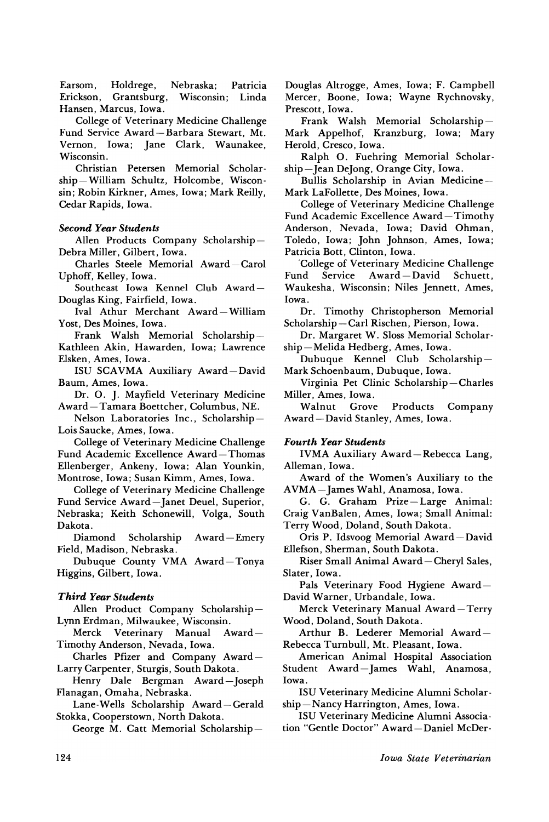Earsom, Holdrege, Nebraska; Patricia Erickson, Grantsburg, Wisconsin; Linda Hansen, Marcus, Iowa.

College of Veterinary Medicine Challenge Fund Service Award-Barbara Stewart, Mt. Vernon, Iowa; Jane Clark, Waunakee, Wisconsin.

Christian Petersen Memorial Scholarship-William Schultz, Holcombe, Wisconsin; Robin Kirkner, Ames, Iowa; Mark Reilly, Cedar Rapids, Iowa.

### *Second Year Students*

Allen Products Company Scholarship-Debra Miller, Gilbert, Iowa.

Charles Steele Memorial Award-Carol Uphoff, Kelley, Iowa.

Southeast Iowa Kennel Club Award-Douglas King, Fairfield, Iowa.

IvaI Athur Merchant Award-William Yost, Des Moines, Iowa.

Frank Walsh Memorial Scholarship-Kathleen Akin, Hawarden, Iowa; Lawrence Elsken, Ames, Iowa.

ISU SCAVMA Auxiliary Award-David Baum, Ames, Iowa.

Dr. O. J. Mayfield Veterinary Medicine Award- Tamara Boettcher, Columbus, NE.

Nelson Laboratories Inc., Scholarship-Lois Saucke, Ames, Iowa.

College of Veterinary Medicine Challenge Fund Academic Excellence Award-Thomas Ellenberger, Ankeny, Iowa; Alan Younkin, Montrose, Iowa; Susan Kimm, Ames, Iowa.

College of Veterinary Medicine Challenge Fund Service Award-Janet Deuel, Superior, Nebraska; Keith Schonewill, Volga, South Dakota.

Scholarship Award-Emery Field, Madison, Nebraska.

Dubuque County VMA Award-Tonya Higgins, Gilbert, Iowa.

### *Third Year Students*

Allen Product Company Scholarship-Lynn Erdman, Milwaukee, Wisconsin.

Merck Veterinary Manual Timothy Anderson, Nevada, Iowa.

Charles Pfizer and Company Award-Larry Carpenter, Sturgis, South Dakota.

Henry Dale Bergman Award-Joseph Flanagan, Omaha, Nebraska.

Lane-Wells Scholarship Award-Gerald Stokka, Cooperstown, North Dakota.

George M. Catt Memorial Scholarship-

Douglas Altrogge, Ames, Iowa; F. Campbell Mercer, Boone, Iowa; Wayne Rychnovsky, Prescott, Iowa.

Frank Walsh Memorial Scholarship-Mark Appelhof, Kranzburg, Iowa; Mary Herold, Cresco, Iowa.

Ralph O. Fuehring Memorial Scholarship-Jean Dejong, Orange City, Iowa.

Bullis Scholarship in Avian Medicine-Mark LaFollette, Des Moines, Iowa.

College of Veterinary Medicine Challenge Fund Academic Excellence Award-Timothy Anderson, Nevada, Iowa; David Ohman, Toledo, Iowa; John Johnson, Ames, Iowa; Patricia Bott, Clinton, Iowa.

'College of Veterinary Medicine Challenge Fund Service Award-David Schuett, Waukesha, Wisconsin; Niles Jennett, Ames, Iowa.

Dr. Timothy Christopherson Memorial Scholarship-Carl Rischen, Pierson, Iowa.

Dr. Margaret W. Sloss Memorial Scholarship-Melida Hedberg, Ames, Iowa.

Dubuque Kennel Club Scholarship-Mark Schoenbaum, Dubuque, Iowa.

Virginia Pet Clinic Scholarship-Charles Miller, Ames, Iowa.

Products Company Award-David Stanley, Ames, Iowa.

### *Fourth Year Students*

IVMA Auxiliary Award-Rebecca Lang, Alleman, Iowa.

Award of the Women's Auxiliary to the AVMA-James Wahl, Anamosa, Iowa.

G. G. Graham Prize-Large Animal: Craig VanBalen, Ames, Iowa; Small Animal: Terry Wood, Doland, South Dakota.

Oris P. Idsvoog Memorial Award-David Ellefson, Sherman, South Dakota.

Riser Small Animal Award-Cheryl Sales, Slater, Iowa.

Pals Veterinary Food Hygiene Award-David Warner, Urbandale, Iowa.

Merck Veterinary Manual Award-Terry Wood, Doland, South Dakota.

Arthur B. Lederer Memorial Award-Rebecca Turnbull, Mt. Pleasant, Iowa.

American Animal Hospital Association Student Award-James Wahl, Anamosa, Iowa.

ISU Veterinary Medicine Alumni Scholarship-Nancy Harrington, Ames, Iowa.

ISU Veterinary Medicine Alumni Association "Gentle Doctor" Award-Daniel McDer-

 $Iowa$  *State Veterinarian*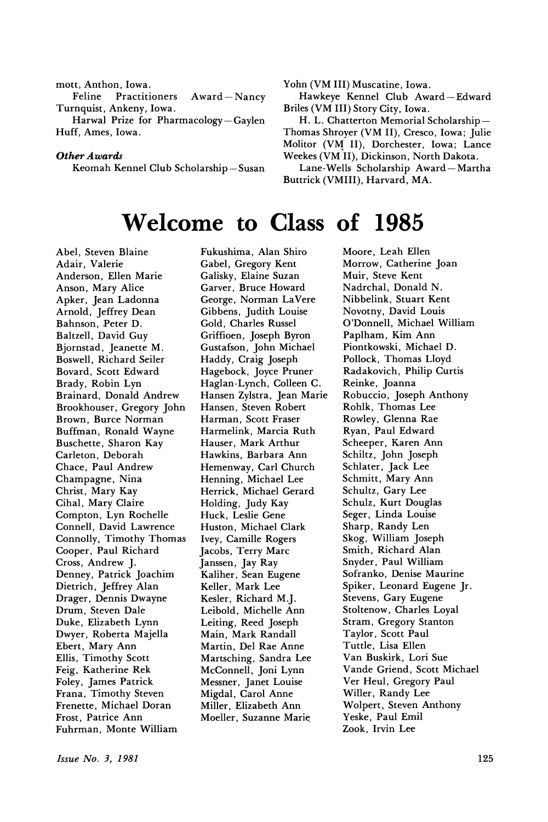mott, Anthon, Iowa. Feline Practitioners Award-Nancy Turnquist, Ankeny, Iowa. Harwal Prize for Pharmacology-Gaylen

Huff, Ames, Iowa.

#### *Other Awards*

Keomah Kennel Club Scholarship-Susan

Yohn (VM III) Muscatine, Iowa.

Hawkeye Kennel Club Award-Edward Briles (VM III) Story City, Iowa.

H. L. Chatterton Memorial Scholarship-Thomas Shroyer (VM II), Cresco, Iowa; Julie Molitor (VM II), Dorchester, Iowa; Lance Weekes (VM II), Dickinson, North Dakota.

Lane-Wells Scholarship Award-Martha Buttrick (VMIII), Harvard, MA.

### Welcome to Class of 1985

Abel, Steven Blaine Adair, Valerie Anderson, Ellen Marie Anson, Mary Alice Apker, Jean Ladonna Arnold, Jeffrey Dean Bahnson, Peter D. Baltzell, David Guy Bjornstad, Jeanette M. Boswell, Richard Seiler Bovard, Scott Edward Brady, Robin Lyn Brainard, Donald Andrew Brookhouser, Gregory John Brown, Burce Norman Buffman, Ronald Wayne Buschette, Sharon Kay Carleton, Deborah Chace, Paul Andrew Champagne, Nina Christ, Mary Kay Cihal, Mary Claire Compton, Lyn Rochelle Connell, David Lawrence Connolly, Timothy Thomas Cooper, Paul Richard Cross, Andrew J. Denney, Patrick Joachim Dietrich, Jeffrey Alan Drager, Dennis Dwayne Drum, Steven Dale Duke, Elizabeth Lynn Dwyer, Roberta Majella Ebert, Mary Ann Ellis, Timothy Scott Feig, Katherine Rek Foley, James Patrick Frana, Timothy Steven Frenette, Michael Doran Frost, Patrice Ann Fuhrman, Monte William

Fukushima, Alan Shiro Gabel, Gregory Kent Galisky, Elaine Suzan Garver, Bruce Howard George, Norman LaVere Gibbens, Judith Louise Gold, Charles Russel Griffioen, Joseph Byron Gustafson, John Michael Haddy, Craig Joseph Hagebock, Joyce Pruner Haglan-Lynch, Colleen C. Hansen Zylstra, Jean Marie Hansen, Steven Robert Harman, Scott Fraser Harmelink, Marcia Ruth Hauser, Mark Arthur Hawkins, Barbara Ann Hemenway, Carl Church Henning, Michael Lee Herrick, Michael Gerard Holding, Judy Kay Huck, Leslie Gene Huston, Michael Clark Ivey, Camille Rogers Jacobs, Terry Marc Janssen, Jay Ray Kaliher, Sean Eugene Keller, Mark Lee Kesler, Richard M.J. Leibold, Michelle Ann Leiting, Reed Joseph Main, Mark Randall Martin, Del Rae Anne Martsching, Sandra Lee McConnell, Joni Lynn Messner, Janet Louise Migdal, Carol Anne Miller, Elizabeth Ann Moeller, Suzanne Marie

Moore, Leah Ellen Morrow, Catherine Joan Muir, Steve Kent Nadrchal, Donald N. Nibbelink, Stuart Kent Novotny, David Louis O'Donnell, Michael William Paplham, Kim Ann Piontkowski, Michael D. Pollock, Thomas Lloyd Radakovich, Philip Curtis Reinke, Joanna Robuccio, Joseph Anthony Rohlk, Thomas Lee Rowley, Glenna Rae Ryan, Paul Edward Scheeper, Karen Ann Schiltz, John Joseph Schlater, Jack Lee Schmitt, Mary Ann Schultz, Gary Lee Schulz, Kurt Douglas Seger, Linda Louise Sharp, Randy Len Skog, William Joseph Smith, Richard Alan Snyder, Paul William Sofranko, Denise Maurine Spiker, Leonard Eugene Jr. Stevens, Gary Eugene Stoltenow, Charles Loyal Stram, Gregory Stanton Taylor, Scott Paul Tuttle, Lisa Ellen Van Buskirk, Lori Sue Vande Griend, Scott Michael Ver Heul, Gregory Paul Willer, Randy Lee Wolpert, Steven Anthony Yeske, Paul Emil Zook, Irvin Lee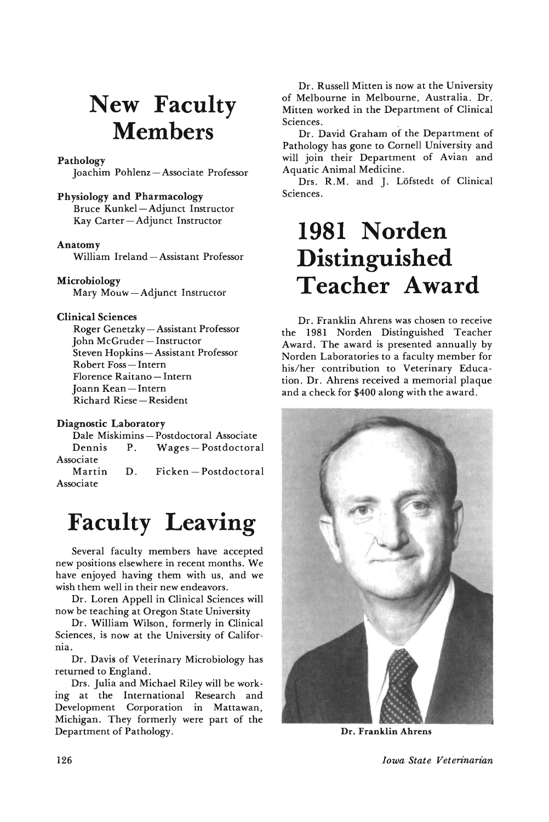# **New Faculty Members**

### Pathology

Joachim Pohlenz-Associate Professor

### Physiology and Pharmacology

Bruce Kunkel- Adjunct Instructor Kay Carter-Adjunct Instructor

#### Anatomy

William Ireland - Assistant Professor

### Microbiology

Mary Mouw-Adjunct Instructor

### Clinical Sciences

Roger Genetzky - Assistant Professor John McGruder-Instructor Steven Hopkins-Assistant Professor Robert Foss-Intern Florence Raitano - Intern Joann Kean-Intern Richard Riese-Resident

### Diagnostic Laboratory

Dale Miskimins- Postdoctoral Associate Dennis P. Wages-Postdoctoral Associate Martin D. Ficken-Postdoctoral Associate

# **Faculty Leaving**

Several faculty members have accepted new positions elsewhere in recent months. We have enjoyed having them with us, and we wish them well in their new endeavors.

Dr. Loren Appell in Clinical Sciences will now be teaching at Oregon State University

Dr. William Wilson, formerly in Clinical Sciences, is now at the University of California.

Dr. Davis of Veterinary Microbiology has returned to England.

Drs. Julia and Michael Riley will be work· ing at the International Research and Development Corporation in Mattawan, Michigan. They formerly were part of the Department of Pathology.

Dr. Russell Mitten is now at the University of Melbourne in Melbourne, Australia. Dr. Mitten worked in the Department of Clinical Sciences. ,

Dr. David Graham of the Department of Pathology has gone to Cornell University and will join their Department of Avian and Aquatic Animal Medicine.

Drs. R.M. and J. Löfstedt of Clinical Sciences.

# **1981 Norden Distinguished Teacher Award**

Dr. Franklin Ahrens was chosen to receive the 1981 Norden Distinguished Teacher Award. The award is presented annually by Norden Laboratories to a faculty member for his/her contribution to Veterinary Educa· tion. Dr. Ahrens received a memorial plaque and a check for \$400 along with the award.



**Dr.** Franklin Ahrens

### $Iowa$  *State Veterinarian*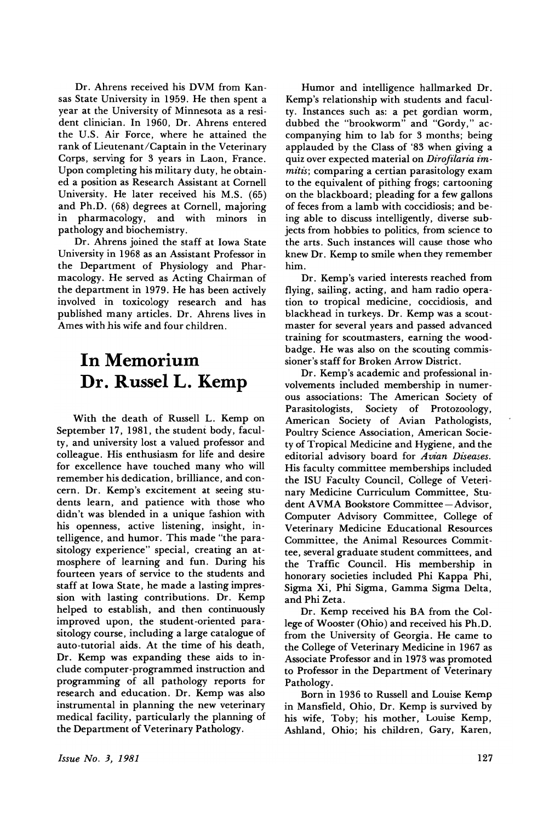Dr. Ahrens received his DVM from Kansas State University in 1959. He then spent a year at the University of Minnesota as a resident clinician. In 1960, Dr. Ahrens entered the U.S. Air Force, where he attained the rank of Lieutenant/Captain in the Veterinary CQrps, serving for 3 years in Laon, France. Upon completing his military duty, he obtained a position as Research Assistant at Cornell University. He later received his M.S. (65) and Ph.D. (68) degrees at Cornell, majoring in pharmacology, and with minors in pathology and biochemistry.

Dr. Ahrens joined the staff at Iowa State University in 1968 as an Assistant Professor in the Department of Physiology and Pharmacology. He served as Acting Chairman of the department in 1979. He has been actively involved in toxicology research and has published many articles. Dr. Ahrens lives in Ames with his wife and four children.

### In Memorium Dr. Russel L. Kemp

With the death of Russell L. Kemp on September 17, 1981, the student body, faculty, and university lost a valued professor and colleague. His enthusiasm for life and desire for excellence have touched many who will remember his dedication, brilliance, and concern. Dr. Kemp's excitement at seeing students learn, and patience with those who didn't was blended in a unique fashion with his openness, active listening, insight, intelligence, and humor. This made "the parasitology experience" special, creating an atmosphere of learning and fun. During his fourteen years of service to the students and staff at Iowa State, he made a lasting impression with lasting contributions. Dr. Kemp helped to establish, and then continuously improved upon, the student-oriented parasitology course, including a large catalogue of auto-tutorial aids. At the time of his death, Dr. Kemp was expanding these aids to include computer-programmed instruction and programming of all pathology reports for research and education. Dr. Kemp was also instrumental in planning the new veterinary medical facility, particularly the planning of the Department of Veterinary Pathology.

Humor and intelligence hallmarked Dr. Kemp's relationship with students and faculty. Instances such as: a pet gordian worm, dubbed the "brookworm" and "Gordy," accompanying him to lab for 3 months; being applauded by the Class of '83 when giving a quiz over expected material on *Dirofilaria immitis*; comparing a certian parasitology exam to the equivalent of pithing frogs; cartooning on the blackboard; pleading for a few gallons of feces from a lamb with coccidiosis; and being able to discuss intelligently, diverse subjects from hobbies to politics, from science to the arts. Such instances will cause those who knew Dr. Kemp to smile when they remember him.

Dr. Kemp's varied interests reached from flying, sailing, acting, and ham radio operation to tropical medicine, coccidiosis, and blackhead in turkeys. Dr. Kemp was a scoutmaster for several years and passed advanced training for scoutmasters, earning the woodbadge. He was also on the scouting commissioner's staff for Broken Arrow District.

Dr. Kemp's academic and professional involvements included membership in numerous associations: The American Society of Parasitologists, Society of Protozoology, American Society of Avian Pathologists, Poultry Science Association, American Society of Tropical Medicine and Hygiene, and the editorial advisory board for *Avian Diseases*. His faculty committee memberships included the ISU Faculty Council, College of Veterjnary Medicine Curriculum Committee, Student AVMA Bookstore Committee - Advisor, Computer Advisory Committee, College of Veterinary Medicine Educational Resources Committee, the Animal Resources Committee, several graduate student committees, and the Traffic Council. His membership in honorary societies included Phi Kappa Phi, Sigma Xi, Phi Sigma, Gamma Sigma Delta, and-Phi Zeta.

Dr. Kemp received his BA from the College of Wooster (Ohio) and received his Ph.D. from the University of Georgia. He came to the College of Veterinary Medicine in 1967 as Associate Professor and in 1973 was promoted to Professor in the Department of Veterinary Pathology.

Born in 1936 to Russell and Louise Kemp in Mansfield, Ohio, Dr. Kemp is survived by his wife, Toby; his mother, Louise Kemp, Ashland, Ohio; his children, Gary, Karen,